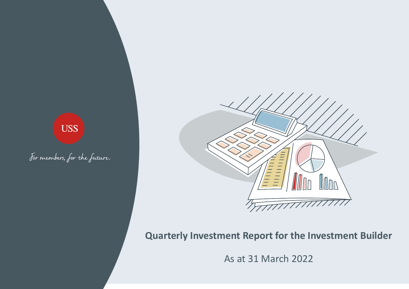# **USS**

For members, for the future.



# **Quarterly Investment Report for the Investment Builder**

As at 31 March 2022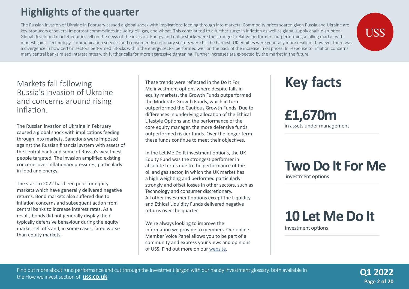# **Highlights of the quarter**

The Russian invasion of Ukraine in February caused a global shock with implications feeding through into markets. Commodity prices soared given Russia and Ukraine are key producers of several important commodities including oil, gas, and wheat. This contributed to a further surge in inflation as well as global supply chain disruption. Global developed market equities fell on the news of the invasion. Energy and utility stocks were the strongest relative performers outperforming a falling market with modest gains. Technology, communication services and consumer discretionary sectors were hit the hardest. UK equities were generally more resilient, however there was a divergence in how certain sectors performed. Stocks within the energy sector performed well on the back of the increase in oil prices. In response to inflation concerns many central banks raised interest rates with further calls for more aggressive tightening. Further increases are expected by the market in the future.

#### Markets fall following Russia's invasion of Ukraine and concerns around rising inflation.

The Russian invasion of Ukraine in February caused a global shock with implications feeding through into markets. Sanctions were imposed against the Russian financial system with assets of the central bank and some of Russia's wealthiest people targeted. The invasion amplified existing concerns over inflationary pressures, particularly in food and energy.

The start to 2022 has been poor for equity markets which have generally delivered negative returns. Bond markets also suffered due to inflation concerns and subsequent action from central banks to increase interest rates. As a result, bonds did not generally display their typically defensive behaviour during the equity market sell offs and, in some cases, fared worse than equity markets.

These trends were reflected in the Do It For Me investment options where despite falls in equity markets, the Growth Funds outperformed the Moderate Growth Funds, which in turn outperformed the Cautious Growth Funds. Due to differences in underlying allocation of the Ethical Lifestyle Options and the performance of the core equity manager, the more defensive funds outperformed riskier funds. Over the longer term these funds continue to meet their objectives.

In the Let Me Do It investment options, the UK Equity Fund was the strongest performer in absolute terms due to the performance of the oil and gas sector, in which the UK market has a high weighting and performed particularly strongly and offset losses in other sectors, such as Technology and consumer discretionary. All other investment options except the Liquidity and Ethical Liquidity Funds delivered negative returns over the quarter.

We're always looking to improve the information we provide to members. Our online Member Voice Panel allows you to be part of a community and express your views and opinions of USS. Find out more on our [website](https://www.uss.co.uk/members/members-home/member-voice).

# **Key facts**

**£1,670m** in assets under management

### **Two Do It For Me** investment options

# **10 Let Me Do It**

investment options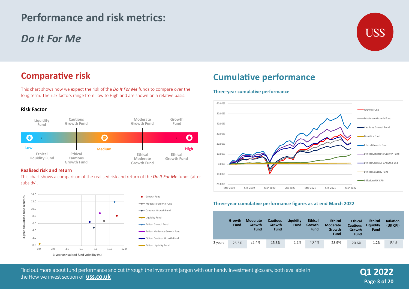# **Performance and risk metrics:**

# *Do It For Me*



# **Comparative risk**

This chart shows how we expect the risk of the *Do It For Me* funds to compare over the long term. The risk factors range from Low to High and are shown on a relative basis.





#### **Realised risk and return**

This chart shows a comparison of the realised risk and return of the *Do It For Me* funds (after subsidy).



# **Cumulative performance**

#### **Three-year cumulative performance**



#### **Three-year cumulative performance figures as at end March 2022**

| $-20.00\%$                                      | Mar-2019              | Sep-2019                                 | Mar-2020                                 | Sep-2020                 | Mar-2021                                | Sep-2021                                                       | Mar-2022                                                   |                                            |                              |
|-------------------------------------------------|-----------------------|------------------------------------------|------------------------------------------|--------------------------|-----------------------------------------|----------------------------------------------------------------|------------------------------------------------------------|--------------------------------------------|------------------------------|
|                                                 |                       |                                          |                                          |                          |                                         | Three-year cumulative performance figures as at end March 2022 |                                                            |                                            |                              |
|                                                 | Growth<br><b>Fund</b> | <b>Moderate</b><br>Growth<br><b>Fund</b> | <b>Cautious</b><br>Growth<br><b>Fund</b> | Liquidity<br><b>Fund</b> | <b>Ethical</b><br>Growth<br><b>Fund</b> | <b>Ethical</b><br><b>Moderate</b><br><b>Growth</b><br>Fund     | <b>Ethical</b><br><b>Cautious</b><br>Growth<br><b>Fund</b> | <b>Ethical</b><br>Liquidity<br><b>Fund</b> | <b>Inflation</b><br>(UK CPI) |
| 3 years                                         | 26.5%                 | 21.4%                                    | 15.3%                                    | 1.1%                     | 40.4%                                   | 28.9%                                                          | 20.6%                                                      | 1.2%                                       | 9.4%                         |
|                                                 |                       |                                          |                                          |                          |                                         |                                                                |                                                            |                                            |                              |
| ur handy Investment glossary, both available in |                       |                                          |                                          |                          |                                         | <b>Q1 2022</b>                                                 |                                                            |                                            |                              |

Find out more about fund performance in the How USS Invests section of **www.uss.co.uk** the How we invest section of **uss.co.uk**Find out more about fund performance and cut through the investment jargon with our handy Investment glossary, both available in

**Page 3 of 20 Q3 2020**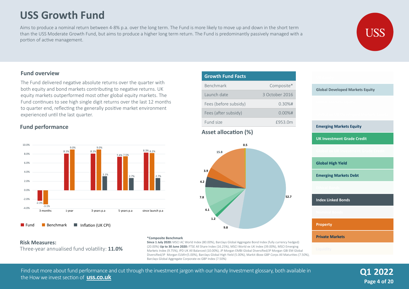# **USS Growth Fund**

Aims to produce a nominal return between 4-8% p.a. over the long term. The Fund is more likely to move up and down in the short term than the USS Moderate Growth Fund, but aims to produce a higher long term return. The Fund is predominantly passively managed with a portion of active management.



#### **Fund overview**

The Fund delivered negative absolute returns over the quarter with both equity and bond markets contributing to negative returns. UK equity markets outperformed most other global equity markets. The Fund continues to see high single digit returns over the last 12 months to quarter end, reflecting the generally positive market environment experienced until the last quarter.

#### **Fund performance**



#### **Risk Measures:**

Three-year annualised fund volatility: **11.0%**

#### **Growth Fund Facts** Benchmark Composite\* Composite\* Launch date 3 October 2016 3 October 2016 Fees (before subsidy) Fees (after subsidy) Fund size 0.30%# 0.00%# £953.0m

#### **Asset allocation (%)**

**Since 1 July 2020:** MSCI AC World Index (80.00%), Barclays Global Aggregate Bond Index (fully currency hedged) (20.00%) **Up to 30 June 2020:** FTSE All Share Index (16.25%), MSCI World ex UK Index (39.00%), MSCI Emerging Markets Index (9.75%), IPD UK All Balanced (10.00%), JP Morgan EMBI Global Diversified/JP Morgan GBI EM Global Diversified/JP Morgan ELMI+(5.00%), Barclays Global High Yield (5.00%), Markit iBoxx GBP Corps All Maturities (7.50%),



# **Global Developed Markets Equity**

#### **Emerging Markets Equity**

**UK Investment Grade Credit**

**Global High Yield**

**Emerging Markets Debt**

**Index Linked Bonds**

**Property**

**Private Markets**

Find out more about fund performance and cut through the investment jargon with our handy Investment glossary, both available in **Q1 2022** the How we invest section of **uss.co.uk**

Barclays Global Aggregate Corporate ex GBP Index (7.50%)

**\*Composite Benchmark** 

**Page 4 of 20**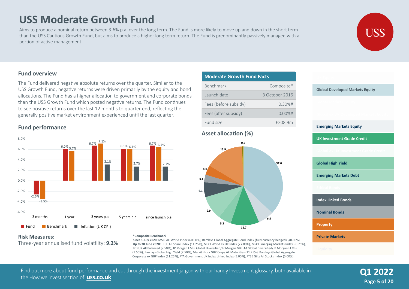# **USS Moderate Growth Fund**

Aims to produce a nominal return between 3-6% p.a. over the long term. The Fund is more likely to move up and down in the short term than the USS Cautious Growth Fund, but aims to produce a higher long term return. The Fund is predominantly passively managed with a portion of active management.

#### **Fund overview**

The Fund delivered negative absolute returns over the quarter. Similar to the USS Growth Fund, negative returns were driven primarily by the equity and bond allocations. The Fund has a higher allocation to government and corporate bonds than the USS Growth Fund which posted negative returns. The Fund continues to see positive returns over the last 12 months to quarter end, reflecting the generally positive market environment experienced until the last quarter.

#### **Fund performance**



### **Moderate Growth Fund Facts Moderate Growth Fund Facts**

| <b>Benchmark</b>      | Composite*     |  |  |
|-----------------------|----------------|--|--|
| Launch date           | 3 October 2016 |  |  |
| Fees (before subsidy) | $0.30%$ #      |  |  |
| Fees (after subsidy)  | $0.00\%$ #     |  |  |
| Fund size             | £208.9m        |  |  |

#### **Asset allocation (%)**



**Global Developed Markets Equity**

**Emerging Markets Equity UK Investment Grade Credit Global High Yield Emerging Markets Debt Index Linked Bonds Nominal Bonds Property Private Markets**

#### **Risk Measures:** Three-year annualised fund volatility: **9.2%**

#### **\*Composite Benchmark**

**Since 1 July 2020:** MSCI AC World Index (60.00%), Barclays Global Aggregate Bond Index (fully currency hedged) (40.00%) **Up to 30 June 2020:** FTSE All Share Index (11.25%), MSCI World ex UK Index (27.00%), MSCI Emerging Markets Index (6.75%), IPD UK All Balanced (7.50%), JP Morgan EMBI Global Diversified/JP Morgan GBI EM Global Diversified/JP Morgan ELMI+ (7.50%), Barclays Global High Yield (7.50%), Markit iBoxx GBP Corps All Maturities (11.25%), Barclays Global Aggregate Corporate ex GBP Index (11.25%), FTA Government UK Index Linked Index (5.00%), FTSE Gilts All Stocks Index (5.00%)

Find out more about fund performance and cut through the investment jargon with our handy Investment glossary, both available in **Q1 2022** the How we invest section of **uss.co.uk**

**Page 5 of 20**

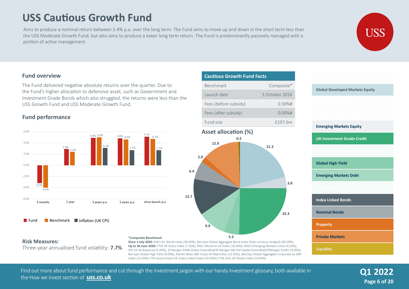# **USS Cautious Growth Fund**

Aims to produce a nominal return between 2-4% p.a. over the long term. The Fund aims to move up and down in the short term less than the USS Moderate Growth Fund, but also aims to produce a lower long term return. The Fund is predominantly passively managed with a portion of active management.



#### **Fund overview**

The Fund delivered negative absolute returns over the quarter. Due to the Fund's higher allocation to defensive asset, such as Government and Investment Grade Bonds which also struggled, the returns were less than the USS Growth Fund and USS Moderate Growth Fund.

#### **Fund performance**

**Risk Measures:**



# **Cautious Growth Fund Facts**

| <b>Benchmark</b>      | Composite*     |
|-----------------------|----------------|
| Launch date           | 3 October 2016 |
| Fees (before subsidy) | $0.30%$ #      |
| Fees (after subsidy)  | $0.00%$ #      |
| Fund size             | £107.6m        |

# **Asset allocation (%) 21.2 25.3 12.7 6.4 2.0 12.9 0.5**

**3.8**

Three-year annualised fund volatility: **7.7%**

**\*Composite Benchmark Since 1 July 2020:** MSCI AC World Index (40.00%), Barclays Global Aggregate Bond Index (fully currency hedged) (60.00%) **Up to 30 June 2020:** FTSE All Share Index (7.50%), MSCI World ex UK Index (18.00%), MSCI Emerging Markets Index (4.50%), IPD UK All Balanced (5.00%), JP Morgan EMBI Global Diversified/JP Morgan GBI EM Global Diversified/JPMorgan ELMI+ (9.00%), Barclays Global High Yield (9.00%), Markit iBoxx GBP Corps All Maturities (13.50%), Barclays Global Aggregate Corporate ex GBP Index (13.50%), FTA Government UK Index Linked Index (10.00%), FTSE Gilts All Stocks Index (10.00%)

**9.9**

**5.3**

# Find out more about fund performance and cut through the investment jargon with our handy Investment glossary, both available in **Q1 2022** the How we invest section of **uss.co.uk**

| <b>Global Developed Markets Equity</b> |  |  |  |
|----------------------------------------|--|--|--|
|                                        |  |  |  |
|                                        |  |  |  |
| <b>Emerging Markets Equity</b>         |  |  |  |
| <b>UK Investment Grade Credit</b>      |  |  |  |
|                                        |  |  |  |
| <b>Global High Yield</b>               |  |  |  |
| <b>Emerging Markets Debt</b>           |  |  |  |
|                                        |  |  |  |
| <b>Index Linked Bonds</b>              |  |  |  |
| <b>Nominal Bonds</b>                   |  |  |  |
| <b>Property</b>                        |  |  |  |
| <b>Private Markets</b>                 |  |  |  |
| <b>Liquidity</b>                       |  |  |  |

**Page 6 of 20**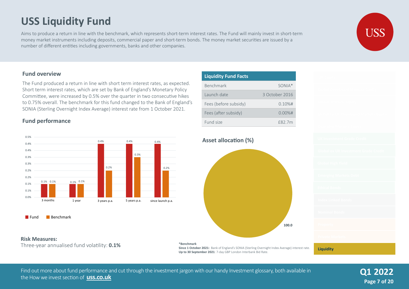# **USS Liquidity Fund**

Aims to produce a return in line with the benchmark, which represents short-term interest rates. The Fund will mainly invest in short-term money market instruments including deposits, commercial paper and short-term bonds. The money market securities are issued by a number of different entities including governments, banks and other companies.

#### **Fund overview**

The Fund produced a return in line with short term interest rates, as expected. Short term interest rates, which are set by Bank of England's Monetary Policy Committee, were increased by 0.5% over the quarter in two consecutive hikes to 0.75% overall. The benchmark for this fund changed to the Bank of England's SONIA (Sterling Overnight Index Average) interest rate from 1 October 2021.

#### **Fund performance**



**Fund** Benchmark

#### **Risk Measures:**

Three-year annualised fund volatility: **0.1%**





**Liquidity**

**Since 1 October 2021:** Bank of England's SONIA (Sterling Overnight Index Average) interest rate. **Up to 30 September 2021**: 7-day GBP London Interbank Bid Rate.

Find out more about fund performance and cut through the investment jargon with our handy Investment glossary, both available in **Q1 2022** the How we invest section of **uss.co.uk**

**Page 7 of 20**

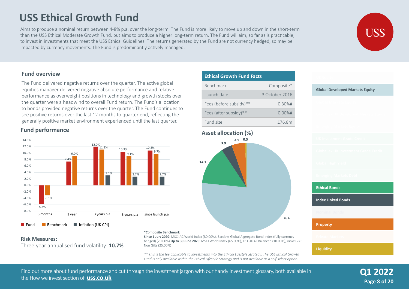# **USS Ethical Growth Fund**

Aims to produce a nominal return between 4-8% p.a. over the long-term. The Fund is more likely to move up and down in the short-term than the USS Ethical Moderate Growth Fund, but aims to produce a higher long-term return. The Fund will aim, so far as is practicable, to invest in investments that meet the USS Ethical Guidelines. The returns generated by the Fund are not currency hedged, so may be impacted by currency movements. The Fund is predominantly actively managed.



#### **Fund overview**

The Fund delivered negative returns over the quarter. The active global equities manager delivered negative absolute performance and relative performance as overweight positions in technology and growth stocks over the quarter were a headwind to overall Fund return. The Fund's allocation to bonds provided negative returns over the quarter. The Fund continues to see positive returns over the last 12 months to quarter end, reflecting the generally positive market environment experienced until the last quarter.

#### **Fund performance**



#### **Risk Measures:**

Three-year annualised fund volatility: **10.7%**

#### **\*Composite Benchmark**

**Since 1 July 2020**: MSCI AC World Index (80.00%), Barclays Global Aggregate Bond Index (fully currency hedged) (20.00%) **Up to 30 June 2020**: MSCI World Index (65.00%), IPD UK All Balanced (10.00%), iBoxx GBP Non Gilts (25.00%)

*\*\* This is the fee applicable to investments into the Ethical Lifestyle Strategy. The USS Ethical Growth Fund is only available within the Ethical Lifestyle Strategy and is not available as a self-select option.* 

| <b>Ethical Growth Fund Facts</b> |                |  |  |  |
|----------------------------------|----------------|--|--|--|
| <b>Benchmark</b>                 | Composite*     |  |  |  |
| Launch date                      | 3 October 2016 |  |  |  |
| Fees (before subsidy)**          | $0.30%$ #      |  |  |  |
| Fees (after subsidy)**           | $0.00%$ #      |  |  |  |
| Fund size                        | £76.8m         |  |  |  |

#### **Asset allocation (%)**



**Ethical Bonds Index Linked Bonds Property**

**Global Developed Markets Equity**

**Liquidity**

Find out more about fund performance and cut through the investment jargon with our handy Investment glossary, both available in the How we invest section of **uss.co.uk Q1 2022**

**Page 8 of 20**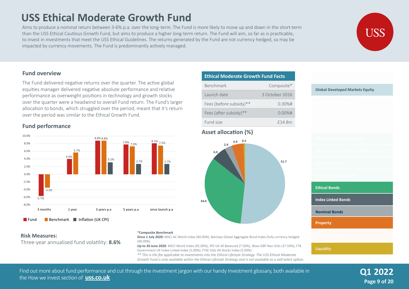# **USS Ethical Moderate Growth Fund**

Aims to produce a nominal return between 3-6% p.a. over the long -term. The Fund is more likely to move up and down in the short-term than the USS Ethical Cautious Growth Fund, but aims to produce a higher long-term return. The Fund will aim, so far as is practicable, to invest in investments that meet the USS Ethical Guidelines. The returns generated by the Fund are not currency hedged, so may be impacted by currency movements. The Fund is predominantly actively managed.



#### **Fund overview**

The Fund delivered negative returns over the quarter. The active global equities manager delivered negative absolute performance and relative performance as overweight positions in technology and growth stocks over the quarter were a headwind to overall Fund return. The Fund's larger allocation to bonds, which struggled over the period, meant that it's return over the period was similar to the Ethical Growth Fund.

#### **Fund performance**



#### **Risk Measures:**

Three-year annualised fund volatility: **8.6%**

#### **\*Composite Benchmark**

**Since 1 July 2020:** MSCI AC World Index (60.00%), Barclays Global Aggregate Bond Index (fully currency hedged (40.00%)

**Up to 30 June 2020**: MSCI World Index (45.00%), IPD UK All Balanced (7.50%), iBoxx GBP Non Gilts (37.50%), FTA Government UK Index Linked Index (5.00%), FTSE Gilts All Stocks Index (5.00%)

*\*\* This is the fee applicable to investments into the Ethical Lifestyle Strategy. The USS Ethical Moderate Growth Fund is only available within the Ethical Lifestyle Strategy and is not available as a self-select option.* 

# Find out more about fund performance and cut through the investment jargon with our handy Investment glossary, both available in **Q1 2022** the How we invest section of **uss.co.uk**

| <b>Ethical Moderate Growth Fund Facts</b> |                |  |  |  |
|-------------------------------------------|----------------|--|--|--|
| <b>Benchmark</b>                          | Composite*     |  |  |  |
| Launch date                               | 3 October 2016 |  |  |  |
| Fees (before subsidy)**                   | $0.30%$ #      |  |  |  |
| Fees (after subsidy)**                    | $0.00%$ #      |  |  |  |
| Fund size                                 | £14.8m         |  |  |  |

#### **Asset allocation (%)**





**Page 9 of 20**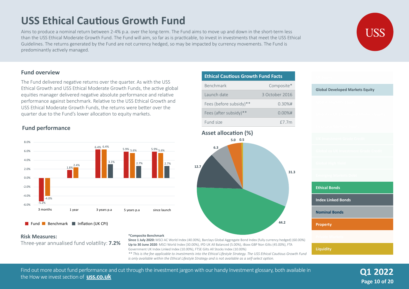# 5 years p.a

**12.7**





Aims to produce a nominal return between 2-4% p.a. over the long-term. The Fund aims to move up and down in the short-term less than the USS Ethical Moderate Growth Fund. The Fund will aim, so far as is practicable, to invest in investments that meet the USS Ethical Guidelines. The returns generated by the Fund are not currency hedged, so may be impacted by currency movements. The Fund is predominantly actively managed.

#### **Fund overview**

The Fund delivered negative returns over the quarter. As with the USS Ethical Growth and USS Ethical Moderate Growth Funds, the active global equities manager delivered negative absolute performance and relative performance against benchmark. Relative to the USS Ethical Growth and USS Ethical Moderate Growth Funds, the returns were better over the quarter due to the Fund's lower allocation to equity markets.

#### **Fund performance**



Fund **Benchmark Inflation (UK CPI)** 

#### **Risk Measures:**

Three-year annualised fund volatility: **7.2%**

#### **\*Composite Benchmark**

**Since 1 July 2020:** MSCI AC World Index (40.00%), Barclays Global Aggregate Bond Index (fully currency hedged) (60.00%) **Up to 30 June 2020**: MSCI World Index (30.00%), IPD UK All Balanced (5.00%), iBoxx GBP Non Gilts (45.00%), FTA Government UK Index Linked Index (10.00%), FTSE Gilts All Stocks Index (10.00%)

*\*\* This is the fee applicable to investments into the Ethical Lifestyle Strategy. The USS Ethical Cautious Growth Fund is only available within the Ethical Lifestyle Strategy and is not available as a self-select option.*

Find out more about fund performance and cut through the investment jargon with our handy Investment glossary, both available in **Q12022** the How we invest section of **uss.co.uk**

#### **Ethical Cautious Growth Fund Facts** Benchmark Composite\*

| Launch date             | 3 October 2016 |
|-------------------------|----------------|
| Fees (before subsidy)** | $0.30%$ #      |
| Fees (after subsidy)**  | $0.00%$ #      |
| Fund size               | f7.7m          |

**Asset allocation (%) 5.0 0.5**

**6.3**



**Liquidity**

**31.3**

**44.2**

**Global Developed Markets Equity**



**Page 10 of 20**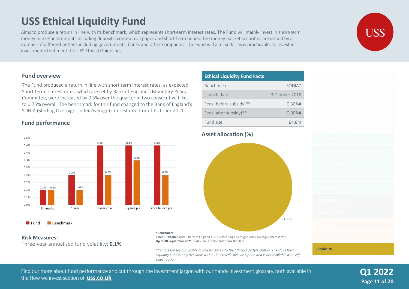# **USS Ethical Liquidity Fund**

Aims to produce a return in line with its benchmark, which represents short-term interest rates. The Fund will mainly invest in short-term money market instruments including deposits, commercial paper and short-term bonds. The money market securities are issued by a number of different entities including governments, banks and other companies. The Fund will aim, so far as is practicable, to invest in investments that meet the USS Ethical Guidelines.

#### **Fund overview**

The Fund produced a return in line with short term interest rates, as expected. Short term interest rates, which are set by Bank of England's Monetary Policy Committee, were increased by 0.5% over the quarter in two consecutive hikes to 0.75% overall. The benchmark for this fund changed to the Bank of England's SONIA (Sterling Overnight Index Average) interest rate from 1 October 2021.

#### **Fund performance**



**Fund** Benchmark

#### **Risk Measures:**

Three-year annualised fund volatility: **0.1%**

#### **\*Benchmark**

**Since 1 October 2021:** Bank of England's SONIA (Sterling Overnight Index Average) interest rate. **Up to 30 September 2021**: 7-day GBP London Interbank Bid Rate.

*\*\*This is the fee applicable to investments into the Ethical Lifestyle Option. The USS Ethical Liquidity Fund is only available within the Ethical Lifestyle Option and is not available as a selfselect option.* 

#### **Ethical Liquidity Fund Facts** Benchmark SONIA\* Launch date 3 October 2016 Fees (before subsidy)\*\* 0.30%# Fees (after subsidy)\*\* 0.00%# Fund size **E4.8m**

#### **Asset allocation (%)**



**Page 11 of 20 Q1 2022**

**Liquidity**

#### Find out more about fund performance and cut through the investment jargon with our handy Investment glossary, both available in the How we invest section of **uss.co.uk**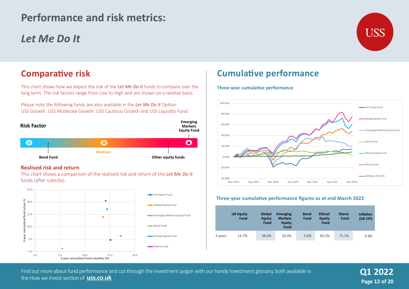# **Performance and risk metrics:**

# *Let Me Do It*



## **Comparative risk**

This chart shows how we expect the risk of the *Let Me Do It* funds to compare over the long term. The risk factors range from Low to High and are shown on a relative basis.

Please note the following funds are also available in the *Let Me Do It* Option: USS Growth, USS Moderate Growth, USS Cautious Growth and USS Liquidity Fund.



#### **Realised risk and return**

This chart shows a comparison of the realised risk and return of the *Let Me Do It* funds (after subsidy).



# **Cumulative performance**

#### **Three-year cumulative performance**



#### **Three-year cumulative performance figures as at end March 2022**

|         | <b>UK Equity</b><br><b>Fund</b> | Global<br><b>Equity</b><br><b>Fund</b> | <b>Emerging</b><br><b>Markets</b><br><b>Equity</b><br><b>Fund</b> | <b>Bond</b><br><b>Fund</b> | <b>Ethical</b><br><b>Equity</b><br><b>Fund</b> | <b>Sharia</b><br><b>Fund</b> | <b>Inflation</b><br>(UK CPI) |
|---------|---------------------------------|----------------------------------------|-------------------------------------------------------------------|----------------------------|------------------------------------------------|------------------------------|------------------------------|
| 3 years | 14.7%                           | 48.0%                                  | 20.0%                                                             | 3.6%                       | 60.5%                                          | 75.1%                        | 9.4%                         |

Find out more about fund performance in the How USS Invests section of **www.uss.co.uk** the How we invest section of **uss.co.uk**Find out more about fund performance and cut through the investment jargon with our handy Investment glossary, both available in

**Page 12 of 20 Q2 2020 Q1 2022**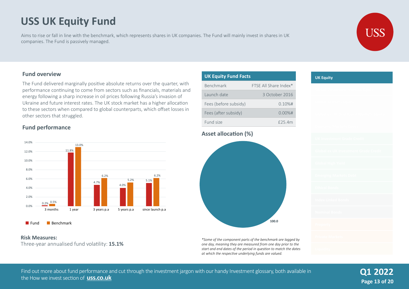# **USS UK Equity Fund**

Aims to rise or fall in line with the benchmark, which represents shares in UK companies. The Fund will mainly invest in shares in UK companies. The Fund is passively managed.



#### **Fund overview**

The Fund delivered marginally positive absolute returns over the quarter, with performance continuing to come from sectors such as financials, materials and energy following a sharp increase in oil prices following Russia's invasion of Ukraine and future interest rates. The UK stock market has a higher allocation to these sectors when compared to global counterparts, which offset losses in other sectors that struggled.

#### **Fund performance**



Fund Benchmark

#### **Risk Measures:**

Three-year annualised fund volatility: **15.1%**

| <b>UK Equity Fund Facts</b> |                       |  |  |  |
|-----------------------------|-----------------------|--|--|--|
| <b>Benchmark</b>            | FTSF All Share Index* |  |  |  |
| Launch date                 | 3 October 2016        |  |  |  |
| Fees (before subsidy)       | $0.10%$ #             |  |  |  |
| Fees (after subsidy)        | $0.00\%$ #            |  |  |  |
| Fund size                   | $f$ 25.4m             |  |  |  |

#### **Asset allocation (%)**



*\*Some of the component parts of the benchmark are lagged by one day, meaning they are measured from one day prior to the start and end dates of the period in question to match the dates at which the respective underlying funds are valued.* 

#### **UK Equity**

Find out more about fund performance and cut through the investment jargon with our handy Investment glossary, both available in the How we invest section of **uss.co.uk Q1 2022**

**Page 13 of 20**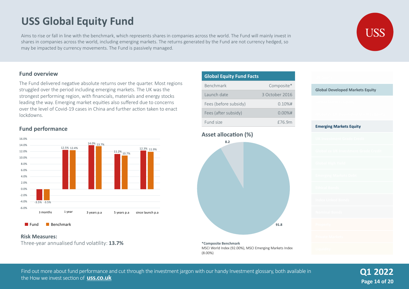# **USS Global Equity Fund**

Aims to rise or fall in line with the benchmark, which represents shares in companies across the world. The Fund will mainly invest in shares in companies across the world, including emerging markets. The returns generated by the Fund are not currency hedged, so may be impacted by currency movements. The Fund is passively managed.



#### **Fund overview**

The Fund delivered negative absolute returns over the quarter. Most regions struggled over the period including emerging markets. The UK was the strongest performing region, with financials, materials and energy stocks leading the way. Emerging market equities also suffered due to concerns over the level of Covid-19 cases in China and further action taken to enact lockdowns.

#### **Fund performance**



#### **Fund** Benchmark

#### **Risk Measures:**

Three-year annualised fund volatility: **13.7% \*Composite Benchmark** 

| <b>Global Equity Fund Facts</b> |                |
|---------------------------------|----------------|
| <b>Benchmark</b>                | Composite*     |
| Launch date                     | 3 October 2016 |
| Fees (before subsidy)           | $0.10%$ #      |
| Fees (after subsidy)            | $0.00%$ #      |
| Fund size                       | £76.9m         |

#### **Asset allocation (%)**



MSCI World Index (92.00%), MSCI Emerging Markets Index (8.00%)

| <b>Global Developed Markets Equity</b> |  |  |
|----------------------------------------|--|--|
|                                        |  |  |
|                                        |  |  |
| <b>Emerging Markets Equity</b>         |  |  |
|                                        |  |  |
|                                        |  |  |
|                                        |  |  |
|                                        |  |  |
|                                        |  |  |
|                                        |  |  |
|                                        |  |  |
|                                        |  |  |
|                                        |  |  |

Find out more about fund performance and cut through the investment jargon with our handy Investment glossary, both available in the How we invest section of **uss.co.uk**

**Page 14 of 20 Q1 2022**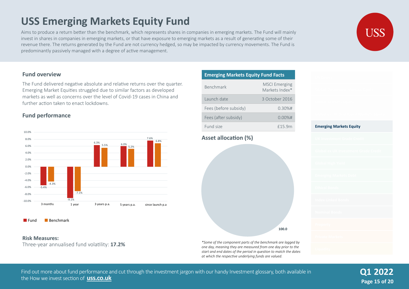# **USS Emerging Markets Equity Fund**

Aims to produce a return better than the benchmark, which represents shares in companies in emerging markets. The Fund will mainly invest in shares in companies in emerging markets, or that have exposure to emerging markets as a result of generating some of their revenue there. The returns generated by the Fund are not currency hedged, so may be impacted by currency movements. The Fund is predominantly passively managed with a degree of active management.

#### **Fund overview**

The Fund delivered negative absolute and relative returns over the quarter. Emerging Market Equities struggled due to similar factors as developed markets as well as concerns over the level of Covid-19 cases in China and further action taken to enact lockdowns.

#### **Fund performance**





Three-year annualised fund volatility: **17.2%** 

| <b>Emerging Markets Equity Fund Facts</b> |                                        |  |  |  |
|-------------------------------------------|----------------------------------------|--|--|--|
| <b>Benchmark</b>                          | <b>MSCI Emerging</b><br>Markets Index* |  |  |  |
| Launch date                               | 3 October 2016                         |  |  |  |
| Fees (before subsidy)                     | $0.30%$ #                              |  |  |  |
| Fees (after subsidy)                      | $0.00%$ #                              |  |  |  |
| Fund size                                 | £15.9m                                 |  |  |  |

#### **Asset allocation (%)**



*one day, meaning they are measured from one day prior to the start and end dates of the period in question to match the dates at which the respective underlying funds are valued.* 

**Emerging Markets Equity**

Find out more about fund performance and cut through the investment jargon with our handy Investment glossary, both available in the How we invest section of **uss.co.uk**

**Page 15 of 20 Q1 2022**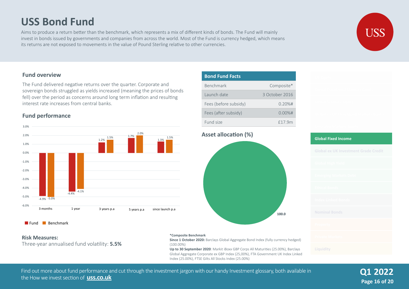# **USS Bond Fund**

Aims to produce a return better than the benchmark, which represents a mix of different kinds of bonds. The Fund will mainly invest in bonds issued by governments and companies from across the world. Most of the Fund is currency hedged, which means its returns are not exposed to movements in the value of Pound Sterling relative to other currencies.



#### **Fund overview**

The Fund delivered negative returns over the quarter. Corporate and sovereign bonds struggled as yields increased (meaning the prices of bonds fell) over the period as concerns around long term inflation and resulting interest rate increases from central banks.

#### **Fund performance**





#### **Risk Measures:**

Three-year annualised fund volatility: **5.5%** 

#### **Bond Fund Facts** Benchmark Composite\* Composite\* Launch date 3 October 2016 3 October 2016 Fees (before subsidy) Fees (after subsidy) Fund size 0.20%# 0.00%# £17.9m



**Up to 30 September 2020**: Markit iBoxx GBP Corps All Maturities (25.00%), Barclays Global Aggregate Corporate ex GBP Index (25,00%), FTA Government UK Index Linked Index (25.00%), FTSE Gilts All Stocks Index (25.00%)

# **Global Fixed Income**

Find out more about fund performance and cut through the investment jargon with our handy Investment glossary, both available in the How we invest section of **uss.co.uk**

(100.00%)

**Page 16 of 20 Q1 2022**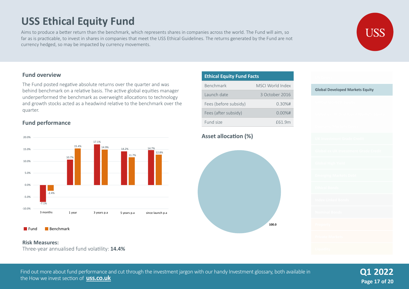# **USS Ethical Equity Fund**

Aims to produce a better return than the benchmark, which represents shares in companies across the world. The Fund will aim, so far as is practicable, to invest in shares in companies that meet the USS Ethical Guidelines. The returns generated by the Fund are not currency hedged, so may be impacted by currency movements.

#### **Fund overview**

The Fund posted negative absolute returns over the quarter and was behind benchmark on a relative basis. The active global equities manager underperformed the benchmark as overweight allocations to technology and growth stocks acted as a headwind relative to the benchmark over the quarter.

#### **Fund performance**



#### **Fund** Benchmark

#### **Risk Measures:**

Three-year annualised fund volatility: **14.4%** 

| <b>Ethical Equity Fund Facts</b> |                  |  |  |  |  |  |  |  |
|----------------------------------|------------------|--|--|--|--|--|--|--|
| <b>Benchmark</b>                 | MSCL World Index |  |  |  |  |  |  |  |
| Launch date                      | 3 October 2016   |  |  |  |  |  |  |  |
| Fees (before subsidy)            | $0.30%$ #        |  |  |  |  |  |  |  |
| Fees (after subsidy)             | $0.00\%$ #       |  |  |  |  |  |  |  |
| Fund size                        | £61.9m           |  |  |  |  |  |  |  |

#### **Asset allocation (%)**



# **Global Developed Markets Equity**

Find out more about fund performance and cut through the investment jargon with our handy Investment glossary, both available in the How we invest section of **uss.co.uk**

**Page 17 of 20 Q1 2022**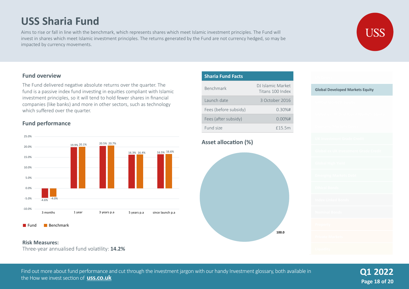# **USS Sharia Fund**

Aims to rise or fall in line with the benchmark, which represents shares which meet Islamic investment principles. The Fund will invest in shares which meet Islamic investment principles. The returns generated by the Fund are not currency hedged, so may be impacted by currency movements.



The Fund delivered negative absolute returns over the quarter. The fund is a passive index fund investing in equities compliant with Islamic investment principles, so it will tend to hold fewer shares in financial companies (like banks) and more in other sectors, such as technology which suffered over the quarter.

#### **Fund performance**





#### **Risk Measures:**

Three-year annualised fund volatility: **14.2%** 



#### **Asset allocation (%)**



# **Global Developed Markets Equity**

USS



#### Find out more about fund performance and cut through the investment jargon with our handy Investment glossary, both available in the How we invest section of **uss.co.uk**

**Page 18 of 20 Q1 2022**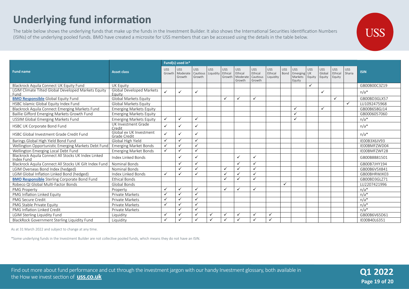# **Underlying fund information**

The table below shows the underlying funds that make up the funds in the Investment Builder. It also shows the International Securities Identification Numbers (ISINs) of the underlying pooled funds. BMO have created a microsite for USS members that can be accessed using the details in the table below.

|                                                                   |                                         | Fund(s) used in*     |                                  |                                  |                         |                                 |                                     |                                             |                                    |                    |                                      |                            |                                |                          |                      |              |
|-------------------------------------------------------------------|-----------------------------------------|----------------------|----------------------------------|----------------------------------|-------------------------|---------------------------------|-------------------------------------|---------------------------------------------|------------------------------------|--------------------|--------------------------------------|----------------------------|--------------------------------|--------------------------|----------------------|--------------|
| <b>Fund name</b>                                                  | <b>Asset class</b>                      | <b>USS</b><br>Growth | <b>USS</b><br>Moderate<br>Growth | <b>USS</b><br>Cautious<br>Growth | <b>USS</b><br>Liquidity | <b>USS</b><br>Ethical<br>Growth | USS<br>Ethical<br>Moderat<br>Growth | <b>USS</b><br>Ethical<br>Cautious<br>Growth | <b>USS</b><br>Ethical<br>Liquidity | <b>USS</b><br>Bond | USS<br>Emerging<br>Markets<br>Equity | <b>USS</b><br>UK<br>Equity | <b>USS</b><br>Global<br>Equity | USS<br>Ethical<br>Equity | <b>USS</b><br>Sharia | <b>ISIN</b>  |
| Blackrock Aquila Connect UK Equity Fund                           | UK Equity                               |                      |                                  |                                  |                         |                                 |                                     |                                             |                                    |                    |                                      | $\checkmark$               |                                |                          |                      | GB00B00C3Z19 |
| LGIM Climate Tilted Global Developed Markets Equity<br>Fund       | Global Developed Markets<br>Equity      | ✓                    | $\checkmark$                     | ✓                                |                         |                                 |                                     |                                             |                                    |                    |                                      |                            | ✓                              |                          |                      | $n/a*$       |
| <b>BMO Responsible Global Equity Fund</b>                         | Global Markets Equity                   |                      |                                  |                                  |                         | ✓                               | $\checkmark$                        | ✓                                           |                                    |                    |                                      |                            |                                | $\checkmark$             |                      | GB00BD3GLX57 |
| HSBC Islamic Global Equity Index Fund                             | Global Markets Equity                   |                      |                                  |                                  |                         |                                 |                                     |                                             |                                    |                    |                                      |                            |                                |                          | $\checkmark$         | LU1092475968 |
| Blackrock Aquila Connect Emerging Markets Fund                    | <b>Emerging Markets Equity</b>          |                      |                                  |                                  |                         |                                 |                                     |                                             |                                    |                    | ✓                                    |                            | ✓                              |                          |                      | GB00B658GJ14 |
| Baillie Gifford Emerging Markets Growth Fund                      | <b>Emerging Markets Equity</b>          |                      |                                  |                                  |                         |                                 |                                     |                                             |                                    |                    | $\checkmark$                         |                            |                                |                          |                      | GB0006057060 |
| USSIM Global Emerging Markets Fund                                | <b>Emerging Markets Equity</b>          | ✓                    | $\checkmark$                     | $\checkmark$                     |                         |                                 |                                     |                                             |                                    |                    | ✓                                    |                            |                                |                          |                      | $n/a*$       |
| HSBC UK Corporate Bond Fund                                       | UK Investment Grade<br>Credit           | $\checkmark$         | $\checkmark$                     | ✓                                |                         |                                 |                                     |                                             |                                    |                    |                                      |                            |                                |                          |                      | $n/a*$       |
| HSBC Global Investment Grade Credit Fund                          | Global ex UK Investment<br>Grade Credit | $\checkmark$         | $\checkmark$                     | $\checkmark$                     |                         |                                 |                                     |                                             |                                    |                    |                                      |                            |                                |                          |                      | $n/a*$       |
| Barings Global High Yield Bond Fund                               | Global High Yield                       | ✓                    | $\checkmark$                     | ✓                                |                         |                                 |                                     |                                             |                                    |                    |                                      |                            |                                |                          |                      | IE00B3X6JV93 |
| Wellington Opportunistic Emerging Markets Debt Fund               | <b>Emerging Market Bonds</b>            | ✓                    | ✓                                | $\checkmark$                     |                         |                                 |                                     |                                             |                                    |                    |                                      |                            |                                |                          |                      | IE00BMFZWD04 |
| Wellington Emerging Local Debt Fund                               | <b>Emerging Market Bonds</b>            | ✓                    | ✓                                | $\checkmark$                     |                         |                                 |                                     |                                             |                                    |                    |                                      |                            |                                |                          |                      | IE00BMFZWF28 |
| Blackrock Aquila Connect All Stocks UK Index Linked<br>Index Fund | Index Linked Bonds                      |                      | $\checkmark$                     | $\checkmark$                     |                         |                                 | ✓                                   | ✓                                           |                                    |                    |                                      |                            |                                |                          |                      | GB00B8B81501 |
| Blackrock Aquila Connect All Stocks UK Gilt Index Fund            | <b>Nominal Bonds</b>                    |                      | $\checkmark$                     | ✓                                |                         |                                 | $\checkmark$                        | $\checkmark$                                |                                    |                    |                                      |                            |                                |                          |                      | GB00B7JHY194 |
| LGIM Overseas Bond Index (hedged)                                 | <b>Nominal Bonds</b>                    |                      | ✓                                | ✓                                |                         | $\checkmark$                    | $\checkmark$                        | ✓                                           |                                    |                    |                                      |                            |                                |                          |                      | GB00B6V5X841 |
| LGIM Global Inflation Linked Bond (hedged)                        | Index Linked Bonds                      | ✓                    | ✓                                | $\cdot$                          |                         |                                 | ✓                                   | $\checkmark$                                |                                    |                    |                                      |                            |                                |                          |                      | GB00BHRWJK03 |
| <b>BMO Responsible</b> Sterling Corporate Bond Fund               | <b>Ethical Bonds</b>                    |                      |                                  |                                  |                         | ✓                               |                                     | $\checkmark$                                |                                    |                    |                                      |                            |                                |                          |                      | GB00BD3GLZ71 |
| Robeco QI Global Multi-Factor Bonds                               | Global Bonds                            |                      |                                  |                                  |                         |                                 |                                     |                                             |                                    | ✓                  |                                      |                            |                                |                          |                      | LU2207421996 |
| PMG Property                                                      | Property                                | $\checkmark$         | ✓                                | ✓                                |                         | $\checkmark$                    | $\checkmark$                        | $\checkmark$                                |                                    |                    |                                      |                            |                                |                          |                      | $n/a*$       |
| PMG Inflation Linked Equity                                       | Private Markets                         | $\checkmark$         | $\checkmark$                     | $\checkmark$                     |                         |                                 |                                     |                                             |                                    |                    |                                      |                            |                                |                          |                      | $n/a*$       |
| PMG Secure Credit                                                 | Private Markets                         | ✓                    | $\checkmark$                     | $\checkmark$                     |                         |                                 |                                     |                                             |                                    |                    |                                      |                            |                                |                          |                      | $n/a*$       |
| PMG Stable Private Equity                                         | Private Markets                         | ✓                    | ✓                                | $\checkmark$                     |                         |                                 |                                     |                                             |                                    |                    |                                      |                            |                                |                          |                      | $n/a*$       |
| PMG Inflation Linked Credit                                       | Private Markets                         |                      | $\checkmark$                     | $\checkmark$                     |                         |                                 |                                     |                                             |                                    |                    |                                      |                            |                                |                          |                      | $n/a*$       |
| LGIM Sterling Liquidity Fund                                      | Liquidity                               | ✓                    | ✓                                | $\checkmark$                     | $\checkmark$            | ✓                               | ✓                                   | $\checkmark$                                | ✓                                  |                    |                                      |                            |                                |                          |                      | GB00B6V65D61 |
| <b>BlackRock Government Sterling Liquidity Fund</b>               | Liquidity                               | $\checkmark$         | $\checkmark$                     |                                  | $\checkmark$            | ✓                               | $\checkmark$                        | $\checkmark$                                | ✓                                  |                    |                                      |                            |                                |                          |                      | IE00B40L6351 |

As at 31 March 2022 and subject to change at any time.

\*Some underlying funds in the Investment Builder are not collective pooled funds, which means they do not have an ISIN.